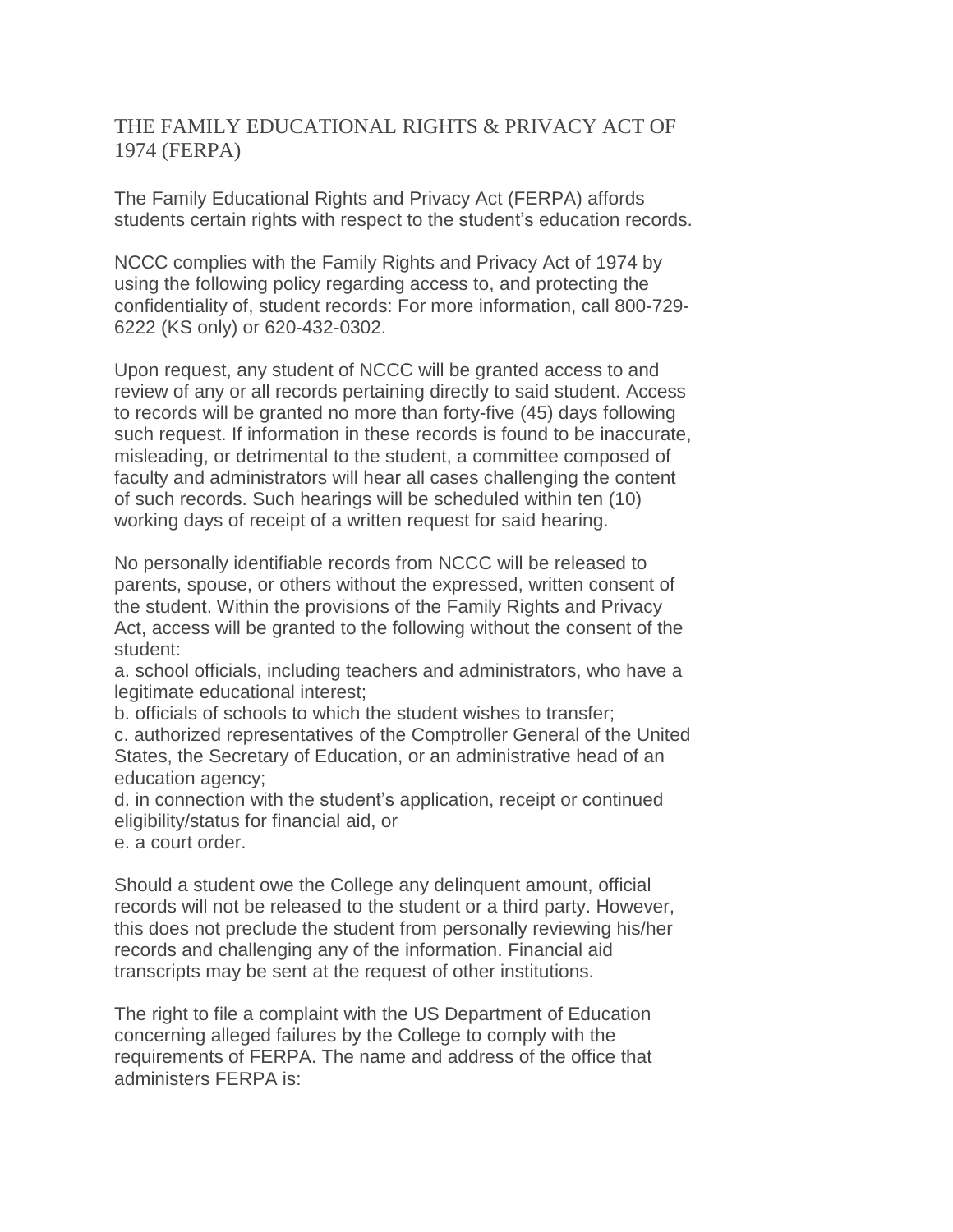## THE FAMILY EDUCATIONAL RIGHTS & PRIVACY ACT OF 1974 (FERPA)

The Family Educational Rights and Privacy Act (FERPA) affords students certain rights with respect to the student's education records.

NCCC complies with the Family Rights and Privacy Act of 1974 by using the following policy regarding access to, and protecting the confidentiality of, student records: For more information, call 800-729- 6222 (KS only) or 620-432-0302.

Upon request, any student of NCCC will be granted access to and review of any or all records pertaining directly to said student. Access to records will be granted no more than forty-five (45) days following such request. If information in these records is found to be inaccurate, misleading, or detrimental to the student, a committee composed of faculty and administrators will hear all cases challenging the content of such records. Such hearings will be scheduled within ten (10) working days of receipt of a written request for said hearing.

No personally identifiable records from NCCC will be released to parents, spouse, or others without the expressed, written consent of the student. Within the provisions of the Family Rights and Privacy Act, access will be granted to the following without the consent of the student:

a. school officials, including teachers and administrators, who have a legitimate educational interest;

b. officials of schools to which the student wishes to transfer;

c. authorized representatives of the Comptroller General of the United States, the Secretary of Education, or an administrative head of an education agency;

d. in connection with the student's application, receipt or continued eligibility/status for financial aid, or

e. a court order.

Should a student owe the College any delinquent amount, official records will not be released to the student or a third party. However, this does not preclude the student from personally reviewing his/her records and challenging any of the information. Financial aid transcripts may be sent at the request of other institutions.

The right to file a complaint with the US Department of Education concerning alleged failures by the College to comply with the requirements of FERPA. The name and address of the office that administers FERPA is: